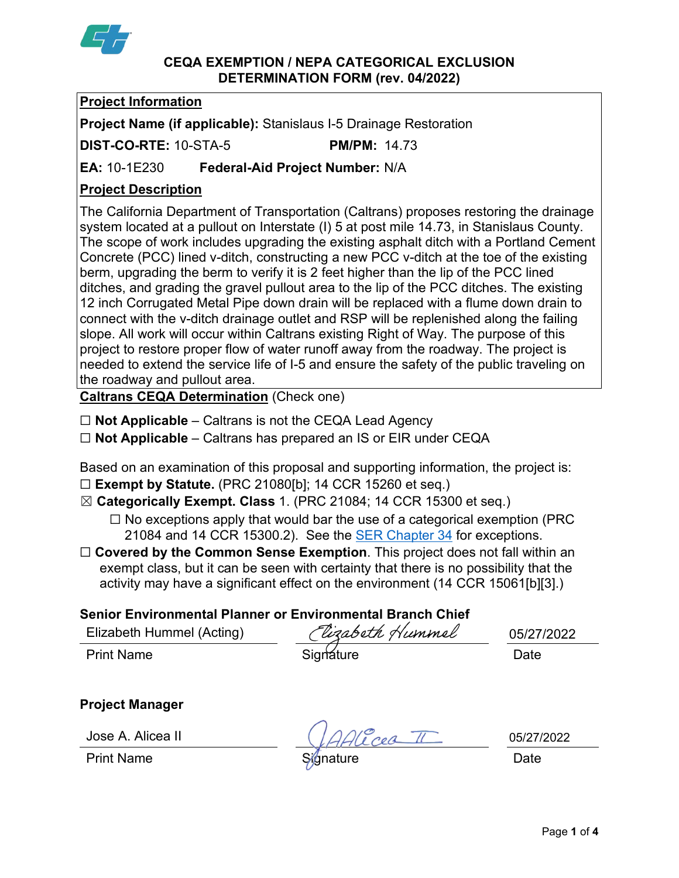

#### **CEQA EXEMPTION / NEPA CATEGORICAL EXCLUSION DETERMINATION FORM (rev. 04/2022)**

# **Project Information**

**Project Name (if applicable):** Stanislaus I-5 Drainage Restoration

**DIST-CO-RTE:** 10-STA-5 **PM/PM:** 14.73

**EA:** 10-1E230 **Federal-Aid Project Number:** N/A

# **Project Description**

The California Department of Transportation (Caltrans) proposes restoring the drainage system located at a pullout on Interstate (I) 5 at post mile 14.73, in Stanislaus County. The scope of work includes upgrading the existing asphalt ditch with a Portland Cement Concrete (PCC) lined v-ditch, constructing a new PCC v-ditch at the toe of the existing berm, upgrading the berm to verify it is 2 feet higher than the lip of the PCC lined ditches, and grading the gravel pullout area to the lip of the PCC ditches. The existing 12 inch Corrugated Metal Pipe down drain will be replaced with a flume down drain to connect with the v-ditch drainage outlet and RSP will be replenished along the failing slope. All work will occur within Caltrans existing Right of Way. The purpose of this project to restore proper flow of water runoff away from the roadway. The project is needed to extend the service life of I-5 and ensure the safety of the public traveling on the roadway and pullout area.

**Caltrans CEQA Determination** (Check one)

- ☐ **Not Applicable** Caltrans is not the CEQA Lead Agency
- ☐ **Not Applicable** Caltrans has prepared an IS or EIR under CEQA

Based on an examination of this proposal and supporting information, the project is:

- ☐ **Exempt by Statute.** (PRC 21080[b]; 14 CCR 15260 et seq.)
- ☒ **Categorically Exempt. Class** 1. (PRC 21084; 14 CCR 15300 et seq.)
	- $\Box$  No exceptions apply that would bar the use of a categorical exemption (PRC) 21084 and 14 CCR 15300.2). See the [SER Chapter 34](https://dot.ca.gov/programs/environmental-analysis/standard-environmental-reference-ser/volume-1-guidance-for-compliance/ch-34-exemptions-to-ceqa#except) for exceptions.
- □ **Covered by the Common Sense Exemption**. This project does not fall within an exempt class, but it can be seen with certainty that there is no possibility that the activity may have a significant effect on the environment (14 CCR 15061[b][3].)

# **Senior Environmental Planner or Environmental Branch Chief**

| Elizabeth Hummel (Acting) | Clizabeth Hummel | 05/27/2022 |
|---------------------------|------------------|------------|
| <b>Print Name</b>         | Signature        | Date       |

**Project Manager**

Jose A. Alicea II

Vicea II

05/27/2022

Print Name S⁄jgnature Date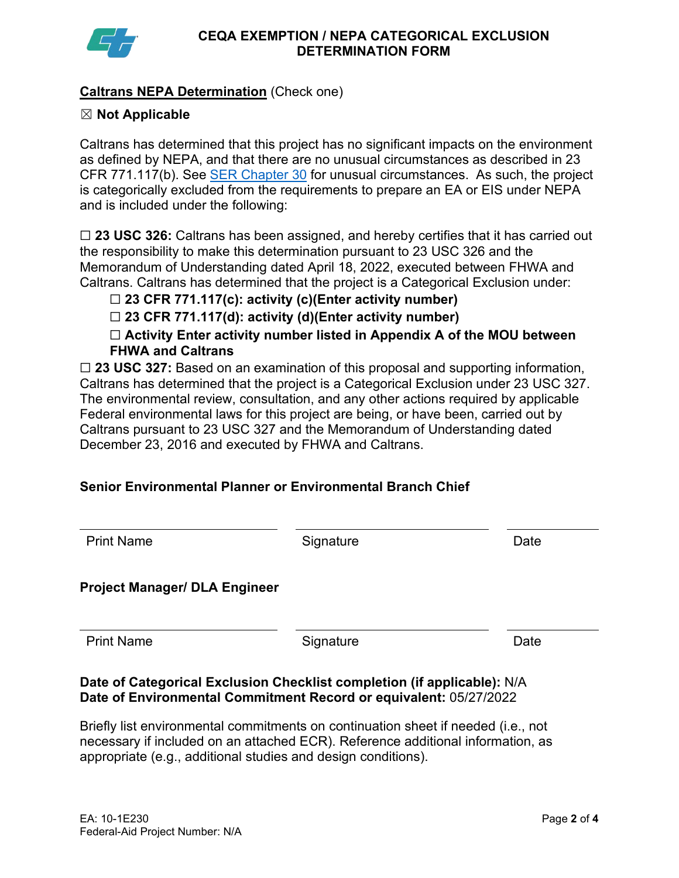

## **Caltrans NEPA Determination** (Check one)

### ☒ **Not Applicable**

Caltrans has determined that this project has no significant impacts on the environment as defined by NEPA, and that there are no unusual circumstances as described in 23 CFR 771.117(b). See [SER Chapter 30](https://dot.ca.gov/programs/environmental-analysis/standard-environmental-reference-ser/volume-1-guidance-for-compliance/ch-30-categorical-exclusions#exception) for unusual circumstances. As such, the project is categorically excluded from the requirements to prepare an EA or EIS under NEPA and is included under the following:

☐ **23 USC 326:** Caltrans has been assigned, and hereby certifies that it has carried out the responsibility to make this determination pursuant to 23 USC 326 and the Memorandum of Understanding dated April 18, 2022, executed between FHWA and Caltrans. Caltrans has determined that the project is a Categorical Exclusion under:

## ☐ **23 CFR 771.117(c): activity (c)(Enter activity number)**

☐ **23 CFR 771.117(d): activity (d)(Enter activity number)**

☐ **Activity Enter activity number listed in Appendix A of the MOU between FHWA and Caltrans**

□ 23 USC 327: Based on an examination of this proposal and supporting information, Caltrans has determined that the project is a Categorical Exclusion under 23 USC 327. The environmental review, consultation, and any other actions required by applicable Federal environmental laws for this project are being, or have been, carried out by Caltrans pursuant to 23 USC 327 and the Memorandum of Understanding dated December 23, 2016 and executed by FHWA and Caltrans.

# **Senior Environmental Planner or Environmental Branch Chief**

| <b>Print Name</b>                    | Signature | Date |
|--------------------------------------|-----------|------|
| <b>Project Manager/ DLA Engineer</b> |           |      |
| <b>Print Name</b>                    | Signature | Date |

### **Date of Categorical Exclusion Checklist completion (if applicable):** N/A **Date of Environmental Commitment Record or equivalent:** 05/27/2022

Briefly list environmental commitments on continuation sheet if needed (i.e., not necessary if included on an attached ECR). Reference additional information, as appropriate (e.g., additional studies and design conditions).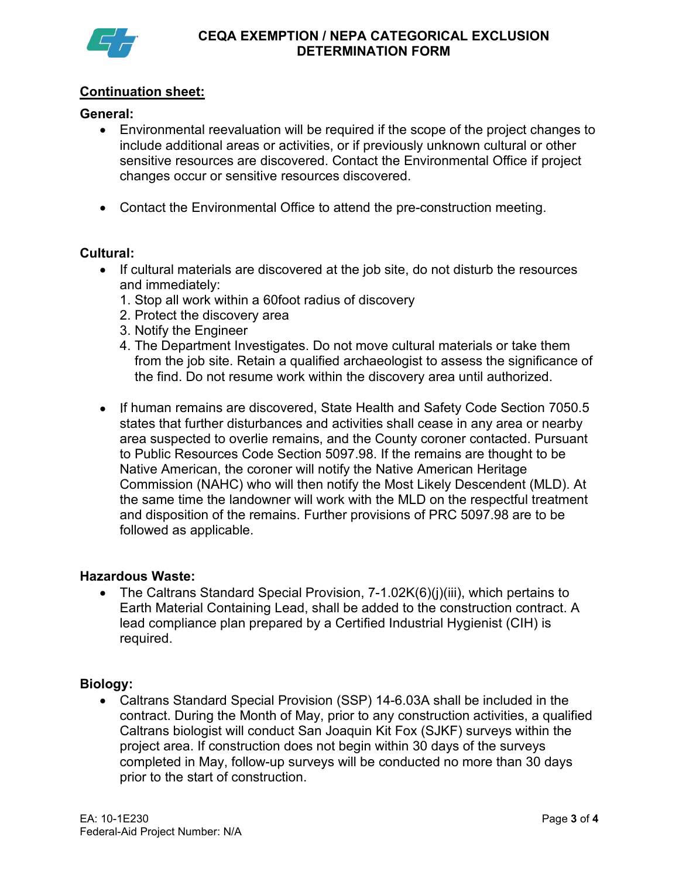

## **Continuation sheet:**

### **General:**

- Environmental reevaluation will be required if the scope of the project changes to include additional areas or activities, or if previously unknown cultural or other sensitive resources are discovered. Contact the Environmental Office if project changes occur or sensitive resources discovered.
- Contact the Environmental Office to attend the pre-construction meeting.

### **Cultural:**

- If cultural materials are discovered at the job site, do not disturb the resources and immediately:
	- 1. Stop all work within a 60foot radius of discovery
	- 2. Protect the discovery area
	- 3. Notify the Engineer
	- 4. The Department Investigates. Do not move cultural materials or take them from the job site. Retain a qualified archaeologist to assess the significance of the find. Do not resume work within the discovery area until authorized.
- If human remains are discovered, State Health and Safety Code Section 7050.5 states that further disturbances and activities shall cease in any area or nearby area suspected to overlie remains, and the County coroner contacted. Pursuant to Public Resources Code Section 5097.98. If the remains are thought to be Native American, the coroner will notify the Native American Heritage Commission (NAHC) who will then notify the Most Likely Descendent (MLD). At the same time the landowner will work with the MLD on the respectful treatment and disposition of the remains. Further provisions of PRC 5097.98 are to be followed as applicable.

#### **Hazardous Waste:**

• The Caltrans Standard Special Provision, 7-1.02K(6)(j)(iii), which pertains to Earth Material Containing Lead, shall be added to the construction contract. A lead compliance plan prepared by a Certified Industrial Hygienist (CIH) is required.

#### **Biology:**

• Caltrans Standard Special Provision (SSP) 14-6.03A shall be included in the contract. During the Month of May, prior to any construction activities, a qualified Caltrans biologist will conduct San Joaquin Kit Fox (SJKF) surveys within the project area. If construction does not begin within 30 days of the surveys completed in May, follow-up surveys will be conducted no more than 30 days prior to the start of construction.